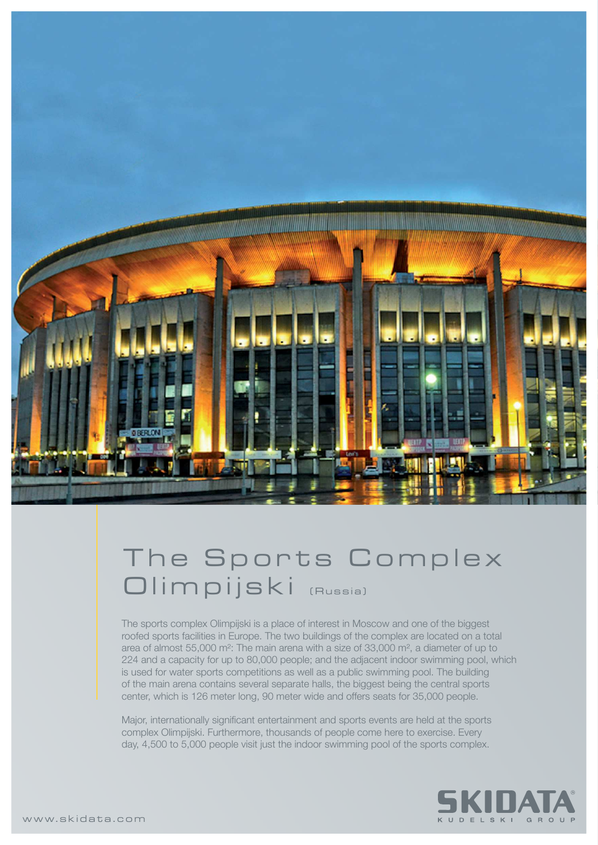

## The Sports Complex Olimpijski (Russia)

The sports complex Olimpijski is a place of interest in Moscow and one of the biggest roofed sports facilities in Europe. The two buildings of the complex are located on a total area of almost 55,000 m²: The main arena with a size of 33,000 m², a diameter of up to 224 and a capacity for up to 80,000 people; and the adjacent indoor swimming pool, which is used for water sports competitions as well as a public swimming pool. The building of the main arena contains several separate halls, the biggest being the central sports center, which is 126 meter long, 90 meter wide and offers seats for 35,000 people.

Major, internationally significant entertainment and sports events are held at the sports complex Olimpijski. Furthermore, thousands of people come here to exercise. Every day, 4,500 to 5,000 people visit just the indoor swimming pool of the sports complex.